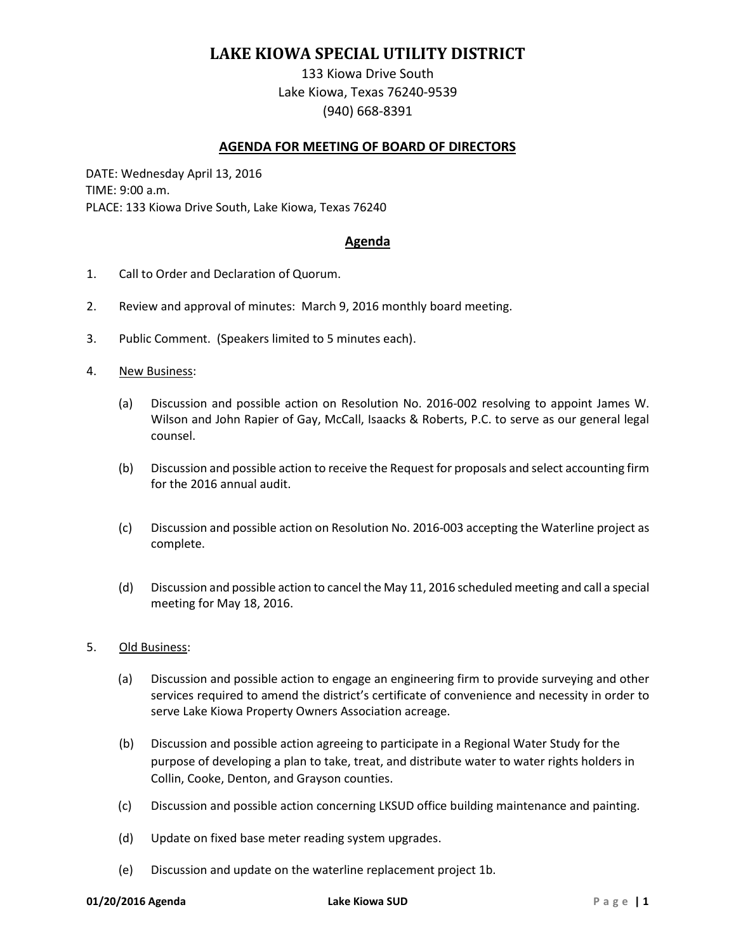# **LAKE KIOWA SPECIAL UTILITY DISTRICT**

133 Kiowa Drive South Lake Kiowa, Texas 76240-9539 (940) 668-8391

## **AGENDA FOR MEETING OF BOARD OF DIRECTORS**

DATE: Wednesday April 13, 2016 TIME: 9:00 a.m. PLACE: 133 Kiowa Drive South, Lake Kiowa, Texas 76240

### **Agenda**

- 1. Call to Order and Declaration of Quorum.
- 2. Review and approval of minutes: March 9, 2016 monthly board meeting.
- 3. Public Comment. (Speakers limited to 5 minutes each).
- 4. New Business:
	- (a) Discussion and possible action on Resolution No. 2016-002 resolving to appoint James W. Wilson and John Rapier of Gay, McCall, Isaacks & Roberts, P.C. to serve as our general legal counsel.
	- (b) Discussion and possible action to receive the Request for proposals and select accounting firm for the 2016 annual audit.
	- (c) Discussion and possible action on Resolution No. 2016-003 accepting the Waterline project as complete.
	- (d) Discussion and possible action to cancel the May 11, 2016 scheduled meeting and call a special meeting for May 18, 2016.

#### 5. Old Business:

- (a) Discussion and possible action to engage an engineering firm to provide surveying and other services required to amend the district's certificate of convenience and necessity in order to serve Lake Kiowa Property Owners Association acreage.
- (b) Discussion and possible action agreeing to participate in a Regional Water Study for the purpose of developing a plan to take, treat, and distribute water to water rights holders in Collin, Cooke, Denton, and Grayson counties.
- (c) Discussion and possible action concerning LKSUD office building maintenance and painting.
- (d) Update on fixed base meter reading system upgrades.
- (e) Discussion and update on the waterline replacement project 1b.